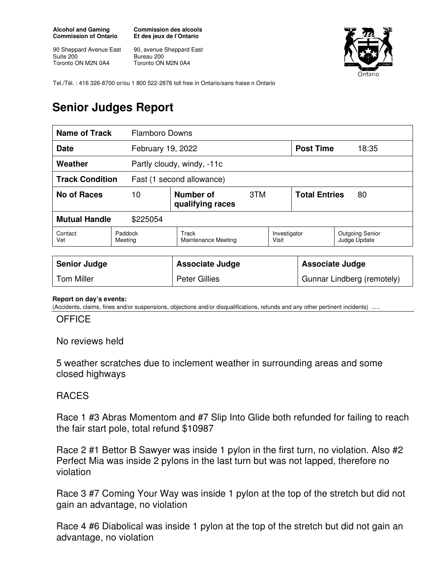**Alcohol and Gaming Commission of Ontario** 

90 Sheppard Avenue East Suite 200 Toronto ON M2N 0A4

**Commission des alcools Et des jeux de l'Ontario** 

90, avenue Sheppard East Bureau 200 Toronto ON M2N 0A4



Tel./Tél. : 416 326-8700 or/ou 1 800 522-2876 toll free in Ontario/sans fraise n Ontario

## **Senior Judges Report**

| <b>Name of Track</b>                                | <b>Flamboro Downs</b> |                                      |     |                        |                            |                                        |
|-----------------------------------------------------|-----------------------|--------------------------------------|-----|------------------------|----------------------------|----------------------------------------|
| <b>Date</b><br>February 19, 2022                    |                       |                                      |     |                        | <b>Post Time</b>           | 18:35                                  |
| Weather                                             |                       | Partly cloudy, windy, -11c           |     |                        |                            |                                        |
| <b>Track Condition</b><br>Fast (1 second allowance) |                       |                                      |     |                        |                            |                                        |
| No of Races                                         | 10                    | <b>Number of</b><br>qualifying races | 3TM |                        | <b>Total Entries</b><br>80 |                                        |
| <b>Mutual Handle</b><br>\$225054                    |                       |                                      |     |                        |                            |                                        |
| Contact<br>Vet                                      | Paddock<br>Meeting    | Track<br>Maintenance Meeting         |     | Investigator<br>Visit  |                            | <b>Outgoing Senior</b><br>Judge Update |
| <b>Senior Judge</b>                                 |                       | <b>Associate Judge</b>               |     | <b>Associate Judge</b> |                            |                                        |

## **Report on day's events:**

(Accidents, claims, fines and/or suspensions, objections and/or disqualifications, refunds and any other pertinent incidents)

Tom Miller **Number 2** | Peter Gillies **Gunnar Lindberg (remotely)** Gunnar Lindberg (remotely)

## **OFFICE**

No reviews held

5 weather scratches due to inclement weather in surrounding areas and some closed highways

## RACES

Race 1 #3 Abras Momentom and #7 Slip Into Glide both refunded for failing to reach the fair start pole, total refund \$10987

Race 2 #1 Bettor B Sawyer was inside 1 pylon in the first turn, no violation. Also #2 Perfect Mia was inside 2 pylons in the last turn but was not lapped, therefore no violation

Race 3 #7 Coming Your Way was inside 1 pylon at the top of the stretch but did not gain an advantage, no violation

Race 4 #6 Diabolical was inside 1 pylon at the top of the stretch but did not gain an advantage, no violation